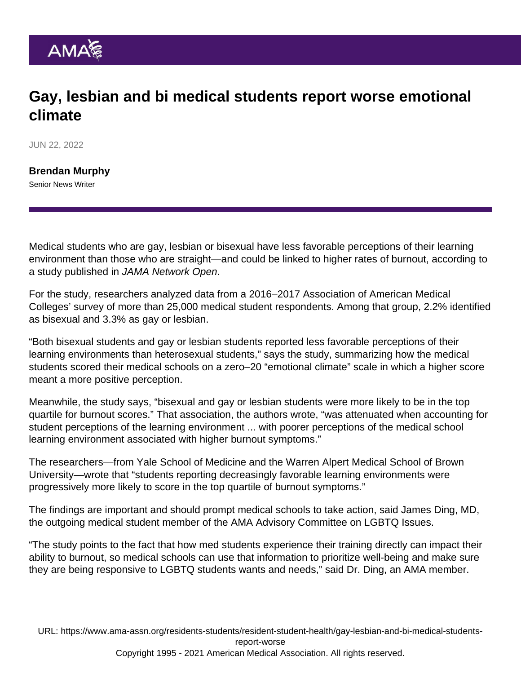## Gay, lesbian and bi medical students report worse emotional climate

JUN 22, 2022

[Brendan Murphy](https://www.ama-assn.org/news-leadership-viewpoints/authors-news-leadership-viewpoints/brendan-murphy) Senior News Writer

Medical students who are gay, lesbian or bisexual have less favorable perceptions of their learning environment than those who are straight—and could be linked to higher rates of burnout, according to [a study published in JAMA Network Open](https://jamanetwork.com/journals/jamanetworkopen/fullarticle/2791725).

For the study, researchers analyzed data from a 2016–2017 Association of American Medical Colleges' survey of more than 25,000 medical student respondents. Among that group, 2.2% identified as bisexual and 3.3% as gay or lesbian.

"Both bisexual students and gay or lesbian students reported less favorable perceptions of their learning environments than heterosexual students," says the study, summarizing how the medical students scored their medical schools on a zero–20 "emotional climate" scale in which a higher score meant a more positive perception.

Meanwhile, the study says, "bisexual and gay or lesbian students were more likely to be in the top quartile for burnout scores." That association, the authors wrote, "was attenuated when accounting for student perceptions of the learning environment ... with poorer perceptions of the medical school learning environment associated with higher burnout symptoms."

The researchers—from Yale School of Medicine and the Warren Alpert Medical School of Brown University—wrote that "students reporting decreasingly favorable learning environments were progressively more likely to score in the top quartile of burnout symptoms."

The findings are important and should prompt medical schools to take action, said [James Ding, MD](https://www.ama-assn.org/member-groups-sections/medical-students/jimmy-ding-hehim), the outgoing medical student member of the [AMA Advisory Committee on LGBTQ Issues.](https://www.ama-assn.org/member-groups-sections/advisory-committee-lgbtq-issues)

"The study points to the fact that how med students experience their training directly can impact their ability to burnout, so medical schools can use that information to prioritize well-being and make sure they are being responsive to LGBTQ students wants and needs," said Dr. Ding, an AMA member.

URL: [https://www.ama-assn.org/residents-students/resident-student-health/gay-lesbian-and-bi-medical-students](https://www.ama-assn.org/residents-students/resident-student-health/gay-lesbian-and-bi-medical-students-report-worse)[report-worse](https://www.ama-assn.org/residents-students/resident-student-health/gay-lesbian-and-bi-medical-students-report-worse) Copyright 1995 - 2021 American Medical Association. All rights reserved.